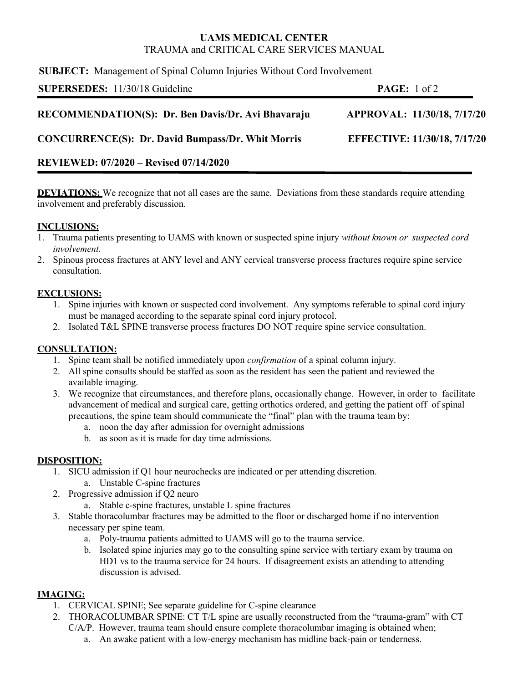# **UAMS MEDICAL CENTER** TRAUMA and CRITICAL CARE SERVICES MANUAL

**SUBJECT:** Management of Spinal Column Injuries Without Cord Involvement

| SUPERSEDES: 11/30/18 Guideline                           | <b>PAGE:</b> $1 \text{ of } 2$ |  |
|----------------------------------------------------------|--------------------------------|--|
| RECOMMENDATION(S): Dr. Ben Davis/Dr. Avi Bhavaraju       | APPROVAL: 11/30/18, 7/17/20    |  |
| <b>CONCURRENCE(S): Dr. David Bumpass/Dr. Whit Morris</b> | EFFECTIVE: 11/30/18, 7/17/20   |  |
|                                                          |                                |  |

## **REVIEWED: 07/2020 – Revised 07/14/2020**

**DEVIATIONS:** We recognize that not all cases are the same. Deviations from these standards require attending involvement and preferably discussion.

#### **INCLUSIONS:**

- 1. Trauma patients presenting to UAMS with known or suspected spine injury *without known or suspected cord involvement.*
- 2. Spinous process fractures at ANY level and ANY cervical transverse process fractures require spine service consultation.

## **EXCLUSIONS:**

- 1. Spine injuries with known or suspected cord involvement. Any symptoms referable to spinal cord injury must be managed according to the separate spinal cord injury protocol.
- 2. Isolated T&L SPINE transverse process fractures DO NOT require spine service consultation.

## **CONSULTATION:**

- 1. Spine team shall be notified immediately upon *confirmation* of a spinal column injury.
- 2. All spine consults should be staffed as soon as the resident has seen the patient and reviewed the available imaging.
- 3. We recognize that circumstances, and therefore plans, occasionally change. However, in order to facilitate advancement of medical and surgical care, getting orthotics ordered, and getting the patient off of spinal precautions, the spine team should communicate the "final" plan with the trauma team by:
	- a. noon the day after admission for overnight admissions
	- b. as soon as it is made for day time admissions.

## **DISPOSITION:**

- 1. SICU admission if Q1 hour neurochecks are indicated or per attending discretion. a. Unstable C-spine fractures
- 2. Progressive admission if Q2 neuro
	- a. Stable c-spine fractures, unstable L spine fractures
- 3. Stable thoracolumbar fractures may be admitted to the floor or discharged home if no intervention necessary per spine team.
	- a. Poly-trauma patients admitted to UAMS will go to the trauma service.
	- b. Isolated spine injuries may go to the consulting spine service with tertiary exam by trauma on HD1 vs to the trauma service for 24 hours. If disagreement exists an attending to attending discussion is advised.

## **IMAGING:**

- 1. CERVICAL SPINE; See separate guideline for C-spine clearance
- 2. THORACOLUMBAR SPINE: CT T/L spine are usually reconstructed from the "trauma-gram" with CT C/A/P. However, trauma team should ensure complete thoracolumbar imaging is obtained when;
	- a. An awake patient with a low-energy mechanism has midline back-pain or tenderness.